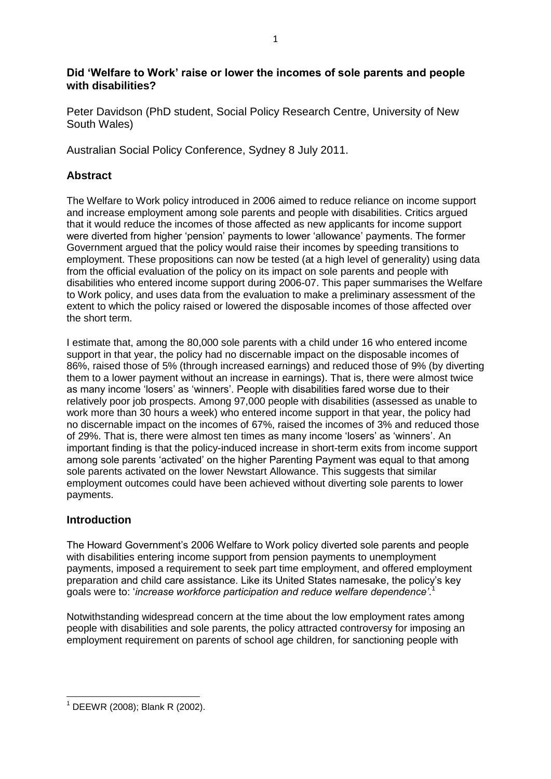**Did 'Welfare to Work' raise or lower the incomes of sole parents and people with disabilities?**

Peter Davidson (PhD student, Social Policy Research Centre, University of New South Wales)

Australian Social Policy Conference, Sydney 8 July 2011.

## **Abstract**

The Welfare to Work policy introduced in 2006 aimed to reduce reliance on income support and increase employment among sole parents and people with disabilities. Critics argued that it would reduce the incomes of those affected as new applicants for income support were diverted from higher 'pension' payments to lower 'allowance' payments. The former Government argued that the policy would raise their incomes by speeding transitions to employment. These propositions can now be tested (at a high level of generality) using data from the official evaluation of the policy on its impact on sole parents and people with disabilities who entered income support during 2006-07. This paper summarises the Welfare to Work policy, and uses data from the evaluation to make a preliminary assessment of the extent to which the policy raised or lowered the disposable incomes of those affected over the short term.

I estimate that, among the 80,000 sole parents with a child under 16 who entered income support in that year, the policy had no discernable impact on the disposable incomes of 86%, raised those of 5% (through increased earnings) and reduced those of 9% (by diverting them to a lower payment without an increase in earnings). That is, there were almost twice as many income 'losers' as 'winners'. People with disabilities fared worse due to their relatively poor job prospects. Among 97,000 people with disabilities (assessed as unable to work more than 30 hours a week) who entered income support in that year, the policy had no discernable impact on the incomes of 67%, raised the incomes of 3% and reduced those of 29%. That is, there were almost ten times as many income 'losers' as 'winners'. An important finding is that the policy-induced increase in short-term exits from income support among sole parents 'activated' on the higher Parenting Payment was equal to that among sole parents activated on the lower Newstart Allowance. This suggests that similar employment outcomes could have been achieved without diverting sole parents to lower payments.

## **Introduction**

The Howard Government's 2006 Welfare to Work policy diverted sole parents and people with disabilities entering income support from pension payments to unemployment payments, imposed a requirement to seek part time employment, and offered employment preparation and child care assistance. Like its United States namesake, the policy's key goals were to: '*increase workforce participation and reduce welfare dependence'*. 1

Notwithstanding widespread concern at the time about the low employment rates among people with disabilities and sole parents, the policy attracted controversy for imposing an employment requirement on parents of school age children, for sanctioning people with

**<sup>.</sup>**  $1$  DEEWR (2008); Blank R (2002).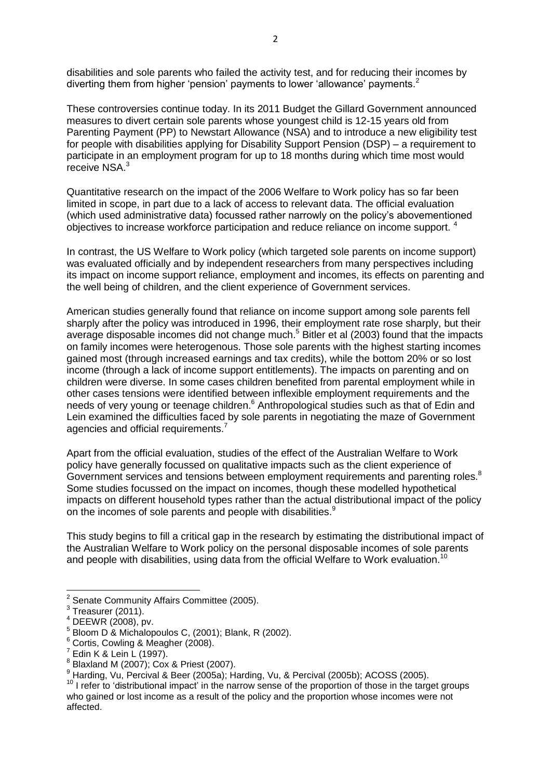disabilities and sole parents who failed the activity test, and for reducing their incomes by diverting them from higher 'pension' payments to lower 'allowance' payments.<sup>2</sup>

These controversies continue today. In its 2011 Budget the Gillard Government announced measures to divert certain sole parents whose youngest child is 12-15 years old from Parenting Payment (PP) to Newstart Allowance (NSA) and to introduce a new eligibility test for people with disabilities applying for Disability Support Pension (DSP) – a requirement to participate in an employment program for up to 18 months during which time most would receive NSA. 3

Quantitative research on the impact of the 2006 Welfare to Work policy has so far been limited in scope, in part due to a lack of access to relevant data. The official evaluation (which used administrative data) focussed rather narrowly on the policy's abovementioned objectives to increase workforce participation and reduce reliance on income support.<sup>4</sup>

In contrast, the US Welfare to Work policy (which targeted sole parents on income support) was evaluated officially and by independent researchers from many perspectives including its impact on income support reliance, employment and incomes, its effects on parenting and the well being of children, and the client experience of Government services.

American studies generally found that reliance on income support among sole parents fell sharply after the policy was introduced in 1996, their employment rate rose sharply, but their average disposable incomes did not change much. <sup>5</sup> Bitler et al (2003) found that the impacts on family incomes were heterogenous. Those sole parents with the highest starting incomes gained most (through increased earnings and tax credits), while the bottom 20% or so lost income (through a lack of income support entitlements). The impacts on parenting and on children were diverse. In some cases children benefited from parental employment while in other cases tensions were identified between inflexible employment requirements and the needs of very young or teenage children.<sup>6</sup> Anthropological studies such as that of Edin and Lein examined the difficulties faced by sole parents in negotiating the maze of Government agencies and official requirements.<sup>7</sup>

Apart from the official evaluation, studies of the effect of the Australian Welfare to Work policy have generally focussed on qualitative impacts such as the client experience of Government services and tensions between employment requirements and parenting roles.<sup>8</sup> Some studies focussed on the impact on incomes, though these modelled hypothetical impacts on different household types rather than the actual distributional impact of the policy on the incomes of sole parents and people with disabilities.<sup>9</sup>

This study begins to fill a critical gap in the research by estimating the distributional impact of the Australian Welfare to Work policy on the personal disposable incomes of sole parents and people with disabilities, using data from the official Welfare to Work evaluation.<sup>10</sup>

 2 Senate Community Affairs Committee (2005).

 $3$  Treasurer (2011).

<sup>4</sup> DEEWR (2008), pv.

<sup>5</sup> Bloom D & Michalopoulos C, (2001); Blank, R (2002).

<sup>&</sup>lt;sup>6</sup> Cortis, Cowling & Meagher (2008).

 $7$  Edin K & Lein L (1997).

 $8$  Blaxland M (2007); Cox & Priest (2007).

<sup>9</sup> Harding, Vu, Percival & Beer (2005a); Harding, Vu, & Percival (2005b); ACOSS (2005).

 $10$  I refer to 'distributional impact' in the narrow sense of the proportion of those in the target groups who gained or lost income as a result of the policy and the proportion whose incomes were not affected.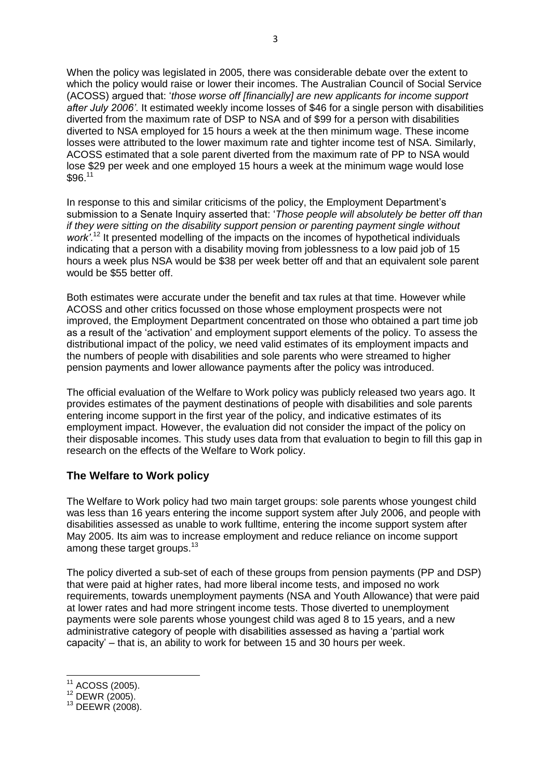When the policy was legislated in 2005, there was considerable debate over the extent to which the policy would raise or lower their incomes. The Australian Council of Social Service (ACOSS) argued that: '*those worse off [financially] are new applicants for income support after July 2006'*. It estimated weekly income losses of \$46 for a single person with disabilities diverted from the maximum rate of DSP to NSA and of \$99 for a person with disabilities diverted to NSA employed for 15 hours a week at the then minimum wage. These income losses were attributed to the lower maximum rate and tighter income test of NSA. Similarly, ACOSS estimated that a sole parent diverted from the maximum rate of PP to NSA would lose \$29 per week and one employed 15 hours a week at the minimum wage would lose \$96.<sup>11</sup>

In response to this and similar criticisms of the policy, the Employment Department's submission to a Senate Inquiry asserted that: '*Those people will absolutely be better off than if they were sitting on the disability support pension or parenting payment single without work'*. <sup>12</sup> It presented modelling of the impacts on the incomes of hypothetical individuals indicating that a person with a disability moving from joblessness to a low paid job of 15 hours a week plus NSA would be \$38 per week better off and that an equivalent sole parent would be \$55 better off.

Both estimates were accurate under the benefit and tax rules at that time. However while ACOSS and other critics focussed on those whose employment prospects were not improved, the Employment Department concentrated on those who obtained a part time job as a result of the 'activation' and employment support elements of the policy. To assess the distributional impact of the policy, we need valid estimates of its employment impacts and the numbers of people with disabilities and sole parents who were streamed to higher pension payments and lower allowance payments after the policy was introduced.

The official evaluation of the Welfare to Work policy was publicly released two years ago. It provides estimates of the payment destinations of people with disabilities and sole parents entering income support in the first year of the policy, and indicative estimates of its employment impact. However, the evaluation did not consider the impact of the policy on their disposable incomes. This study uses data from that evaluation to begin to fill this gap in research on the effects of the Welfare to Work policy.

## **The Welfare to Work policy**

The Welfare to Work policy had two main target groups: sole parents whose youngest child was less than 16 years entering the income support system after July 2006, and people with disabilities assessed as unable to work fulltime, entering the income support system after May 2005. Its aim was to increase employment and reduce reliance on income support among these target groups.<sup>13</sup>

The policy diverted a sub-set of each of these groups from pension payments (PP and DSP) that were paid at higher rates, had more liberal income tests, and imposed no work requirements, towards unemployment payments (NSA and Youth Allowance) that were paid at lower rates and had more stringent income tests. Those diverted to unemployment payments were sole parents whose youngest child was aged 8 to 15 years, and a new administrative category of people with disabilities assessed as having a 'partial work capacity' – that is, an ability to work for between 15 and 30 hours per week.

 $\overline{\phantom{a}}$  $11$  ACOSS (2005).

<sup>12</sup> DEWR (2005).

<sup>13</sup> DEEWR (2008).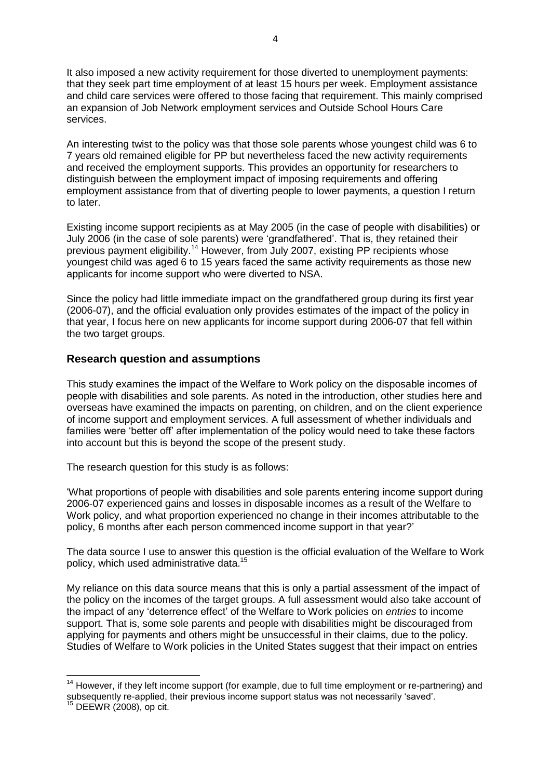It also imposed a new activity requirement for those diverted to unemployment payments: that they seek part time employment of at least 15 hours per week. Employment assistance and child care services were offered to those facing that requirement. This mainly comprised an expansion of Job Network employment services and Outside School Hours Care services.

An interesting twist to the policy was that those sole parents whose youngest child was 6 to 7 years old remained eligible for PP but nevertheless faced the new activity requirements and received the employment supports. This provides an opportunity for researchers to distinguish between the employment impact of imposing requirements and offering employment assistance from that of diverting people to lower payments, a question I return to later.

Existing income support recipients as at May 2005 (in the case of people with disabilities) or July 2006 (in the case of sole parents) were 'grandfathered'. That is, they retained their previous payment eligibility.<sup>14</sup> However, from July 2007, existing PP recipients whose youngest child was aged 6 to 15 years faced the same activity requirements as those new applicants for income support who were diverted to NSA.

Since the policy had little immediate impact on the grandfathered group during its first year (2006-07), and the official evaluation only provides estimates of the impact of the policy in that year, I focus here on new applicants for income support during 2006-07 that fell within the two target groups.

#### **Research question and assumptions**

This study examines the impact of the Welfare to Work policy on the disposable incomes of people with disabilities and sole parents. As noted in the introduction, other studies here and overseas have examined the impacts on parenting, on children, and on the client experience of income support and employment services. A full assessment of whether individuals and families were 'better off' after implementation of the policy would need to take these factors into account but this is beyond the scope of the present study.

The research question for this study is as follows:

'What proportions of people with disabilities and sole parents entering income support during 2006-07 experienced gains and losses in disposable incomes as a result of the Welfare to Work policy, and what proportion experienced no change in their incomes attributable to the policy, 6 months after each person commenced income support in that year?'

The data source I use to answer this question is the official evaluation of the Welfare to Work policy, which used administrative data.<sup>15</sup>

My reliance on this data source means that this is only a partial assessment of the impact of the policy on the incomes of the target groups. A full assessment would also take account of the impact of any 'deterrence effect' of the Welfare to Work policies on *entries* to income support. That is, some sole parents and people with disabilities might be discouraged from applying for payments and others might be unsuccessful in their claims, due to the policy. Studies of Welfare to Work policies in the United States suggest that their impact on entries

 $\overline{\phantom{a}}$ 

<sup>&</sup>lt;sup>14</sup> However, if they left income support (for example, due to full time employment or re-partnering) and subsequently re-applied, their previous income support status was not necessarily 'saved'.

DEEWR (2008), op cit.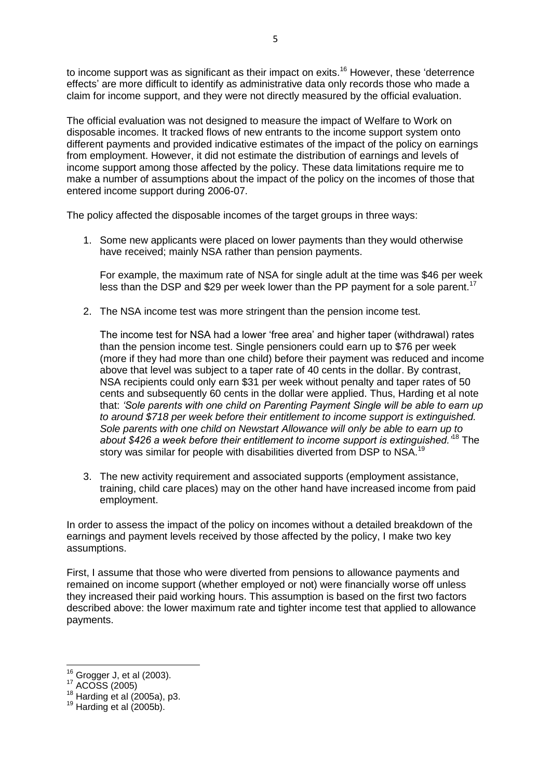to income support was as significant as their impact on exits.<sup>16</sup> However, these 'deterrence effects' are more difficult to identify as administrative data only records those who made a claim for income support, and they were not directly measured by the official evaluation.

The official evaluation was not designed to measure the impact of Welfare to Work on disposable incomes. It tracked flows of new entrants to the income support system onto different payments and provided indicative estimates of the impact of the policy on earnings from employment. However, it did not estimate the distribution of earnings and levels of income support among those affected by the policy. These data limitations require me to make a number of assumptions about the impact of the policy on the incomes of those that entered income support during 2006-07.

The policy affected the disposable incomes of the target groups in three ways:

1. Some new applicants were placed on lower payments than they would otherwise have received; mainly NSA rather than pension payments.

For example, the maximum rate of NSA for single adult at the time was \$46 per week less than the DSP and \$29 per week lower than the PP payment for a sole parent.<sup>17</sup>

2. The NSA income test was more stringent than the pension income test.

The income test for NSA had a lower 'free area' and higher taper (withdrawal) rates than the pension income test. Single pensioners could earn up to \$76 per week (more if they had more than one child) before their payment was reduced and income above that level was subject to a taper rate of 40 cents in the dollar. By contrast, NSA recipients could only earn \$31 per week without penalty and taper rates of 50 cents and subsequently 60 cents in the dollar were applied. Thus, Harding et al note that: *'Sole parents with one child on Parenting Payment Single will be able to earn up to around \$718 per week before their entitlement to income support is extinguished. Sole parents with one child on Newstart Allowance will only be able to earn up to about \$426 a week before their entitlement to income support is extinguished.'*<sup>18</sup> The story was similar for people with disabilities diverted from DSP to NSA.<sup>19</sup>

3. The new activity requirement and associated supports (employment assistance, training, child care places) may on the other hand have increased income from paid employment.

In order to assess the impact of the policy on incomes without a detailed breakdown of the earnings and payment levels received by those affected by the policy, I make two key assumptions.

First, I assume that those who were diverted from pensions to allowance payments and remained on income support (whether employed or not) were financially worse off unless they increased their paid working hours. This assumption is based on the first two factors described above: the lower maximum rate and tighter income test that applied to allowance payments.

**.** 

 $16$  Grogger J, et al (2003).

 $17$  ACOSS (2005)

<sup>18</sup> Harding et al (2005a), p3.

 $19$  Harding et al (2005b).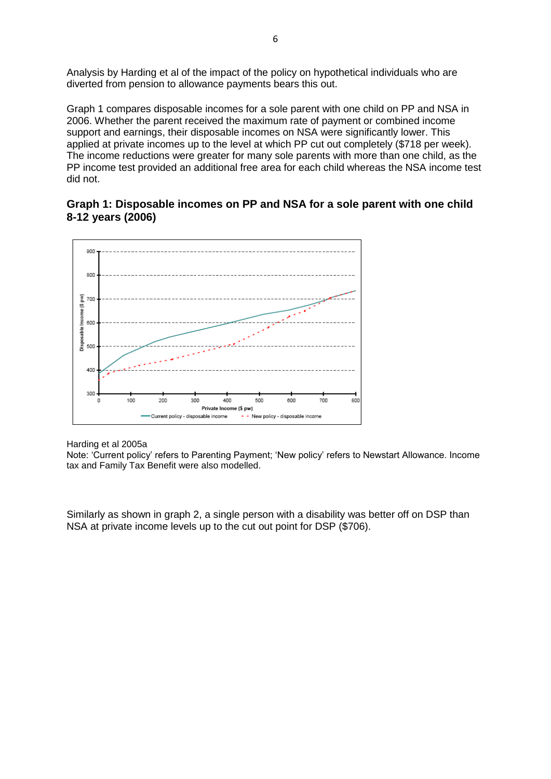Analysis by Harding et al of the impact of the policy on hypothetical individuals who are diverted from pension to allowance payments bears this out.

Graph 1 compares disposable incomes for a sole parent with one child on PP and NSA in 2006. Whether the parent received the maximum rate of payment or combined income support and earnings, their disposable incomes on NSA were significantly lower. This applied at private incomes up to the level at which PP cut out completely (\$718 per week). The income reductions were greater for many sole parents with more than one child, as the PP income test provided an additional free area for each child whereas the NSA income test did not.

#### **Graph 1: Disposable incomes on PP and NSA for a sole parent with one child 8-12 years (2006)**



#### Harding et al 2005a

Note: 'Current policy' refers to Parenting Payment; 'New policy' refers to Newstart Allowance. Income tax and Family Tax Benefit were also modelled.

Similarly as shown in graph 2, a single person with a disability was better off on DSP than NSA at private income levels up to the cut out point for DSP (\$706).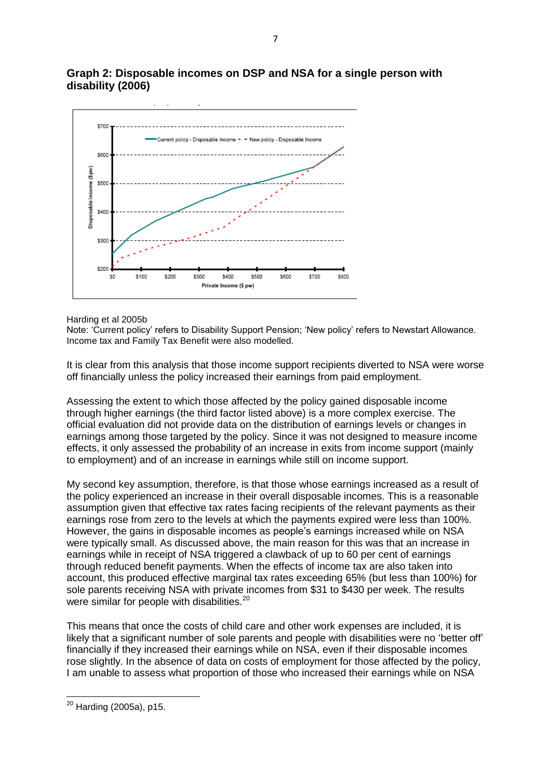#### **Graph 2: Disposable incomes on DSP and NSA for a single person with disability (2006)**



Harding et al 2005b

Note: 'Current policy' refers to Disability Support Pension; 'New policy' refers to Newstart Allowance. Income tax and Family Tax Benefit were also modelled.

It is clear from this analysis that those income support recipients diverted to NSA were worse off financially unless the policy increased their earnings from paid employment.

Assessing the extent to which those affected by the policy gained disposable income through higher earnings (the third factor listed above) is a more complex exercise. The official evaluation did not provide data on the distribution of earnings levels or changes in earnings among those targeted by the policy. Since it was not designed to measure income effects, it only assessed the probability of an increase in exits from income support (mainly to employment) and of an increase in earnings while still on income support.

My second key assumption, therefore, is that those whose earnings increased as a result of the policy experienced an increase in their overall disposable incomes. This is a reasonable assumption given that effective tax rates facing recipients of the relevant payments as their earnings rose from zero to the levels at which the payments expired were less than 100%. However, the gains in disposable incomes as people's earnings increased while on NSA were typically small. As discussed above, the main reason for this was that an increase in earnings while in receipt of NSA triggered a clawback of up to 60 per cent of earnings through reduced benefit payments. When the effects of income tax are also taken into account, this produced effective marginal tax rates exceeding 65% (but less than 100%) for sole parents receiving NSA with private incomes from \$31 to \$430 per week. The results were similar for people with disabilities.<sup>20</sup>

This means that once the costs of child care and other work expenses are included, it is likely that a significant number of sole parents and people with disabilities were no 'better off' financially if they increased their earnings while on NSA, even if their disposable incomes rose slightly. In the absence of data on costs of employment for those affected by the policy, I am unable to assess what proportion of those who increased their earnings while on NSA

**<sup>.</sup>**  $^{20}$  Harding (2005a), p15.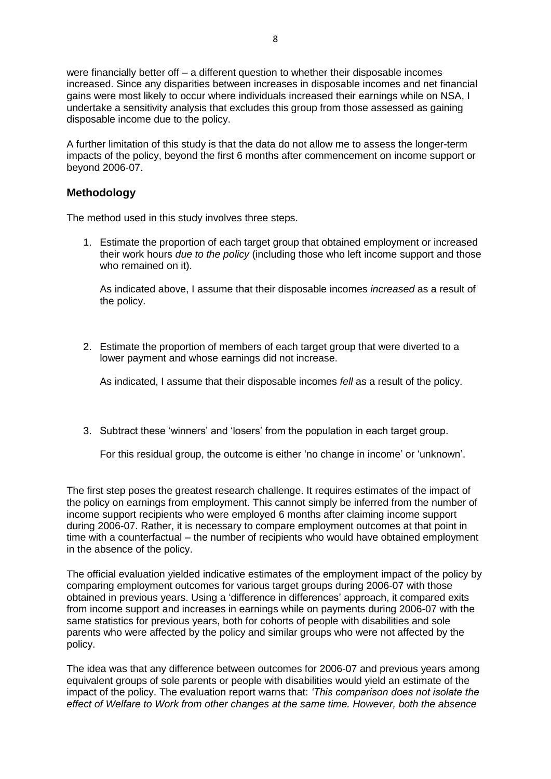were financially better off – a different question to whether their disposable incomes increased. Since any disparities between increases in disposable incomes and net financial gains were most likely to occur where individuals increased their earnings while on NSA, I undertake a sensitivity analysis that excludes this group from those assessed as gaining disposable income due to the policy.

A further limitation of this study is that the data do not allow me to assess the longer-term impacts of the policy, beyond the first 6 months after commencement on income support or beyond 2006-07.

#### **Methodology**

The method used in this study involves three steps.

1. Estimate the proportion of each target group that obtained employment or increased their work hours *due to the policy* (including those who left income support and those who remained on it).

As indicated above, I assume that their disposable incomes *increased* as a result of the policy.

2. Estimate the proportion of members of each target group that were diverted to a lower payment and whose earnings did not increase.

As indicated, I assume that their disposable incomes *fell* as a result of the policy.

3. Subtract these 'winners' and 'losers' from the population in each target group.

For this residual group, the outcome is either 'no change in income' or 'unknown'.

The first step poses the greatest research challenge. It requires estimates of the impact of the policy on earnings from employment. This cannot simply be inferred from the number of income support recipients who were employed 6 months after claiming income support during 2006-07. Rather, it is necessary to compare employment outcomes at that point in time with a counterfactual – the number of recipients who would have obtained employment in the absence of the policy.

The official evaluation yielded indicative estimates of the employment impact of the policy by comparing employment outcomes for various target groups during 2006-07 with those obtained in previous years. Using a 'difference in differences' approach, it compared exits from income support and increases in earnings while on payments during 2006-07 with the same statistics for previous years, both for cohorts of people with disabilities and sole parents who were affected by the policy and similar groups who were not affected by the policy.

The idea was that any difference between outcomes for 2006-07 and previous years among equivalent groups of sole parents or people with disabilities would yield an estimate of the impact of the policy. The evaluation report warns that: *'This comparison does not isolate the effect of Welfare to Work from other changes at the same time. However, both the absence*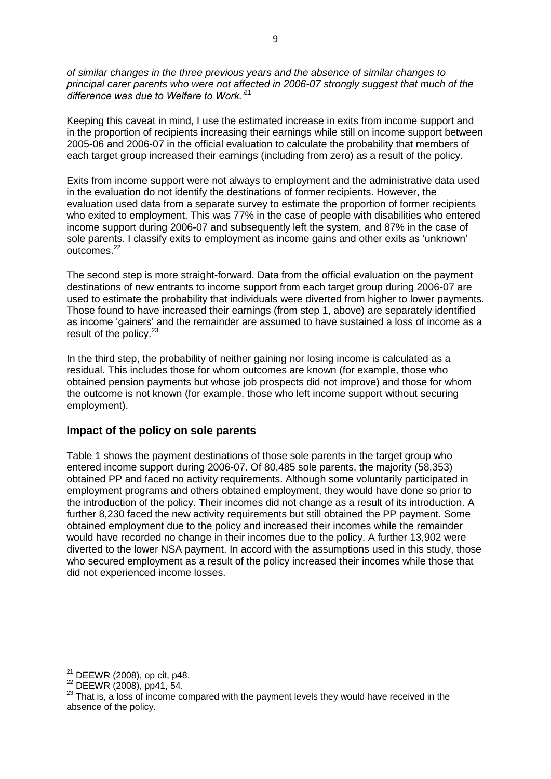*of similar changes in the three previous years and the absence of similar changes to principal carer parents who were not affected in 2006-07 strongly suggest that much of the difference was due to Welfare to Work.'*<sup>21</sup>

Keeping this caveat in mind, I use the estimated increase in exits from income support and in the proportion of recipients increasing their earnings while still on income support between 2005-06 and 2006-07 in the official evaluation to calculate the probability that members of each target group increased their earnings (including from zero) as a result of the policy.

Exits from income support were not always to employment and the administrative data used in the evaluation do not identify the destinations of former recipients. However, the evaluation used data from a separate survey to estimate the proportion of former recipients who exited to employment. This was 77% in the case of people with disabilities who entered income support during 2006-07 and subsequently left the system, and 87% in the case of sole parents. I classify exits to employment as income gains and other exits as 'unknown' outcomes.<sup>22</sup>

The second step is more straight-forward. Data from the official evaluation on the payment destinations of new entrants to income support from each target group during 2006-07 are used to estimate the probability that individuals were diverted from higher to lower payments. Those found to have increased their earnings (from step 1, above) are separately identified as income 'gainers' and the remainder are assumed to have sustained a loss of income as a result of the policy.<sup>23</sup>

In the third step, the probability of neither gaining nor losing income is calculated as a residual. This includes those for whom outcomes are known (for example, those who obtained pension payments but whose job prospects did not improve) and those for whom the outcome is not known (for example, those who left income support without securing employment).

#### **Impact of the policy on sole parents**

Table 1 shows the payment destinations of those sole parents in the target group who entered income support during 2006-07. Of 80,485 sole parents, the majority (58,353) obtained PP and faced no activity requirements. Although some voluntarily participated in employment programs and others obtained employment, they would have done so prior to the introduction of the policy. Their incomes did not change as a result of its introduction. A further 8,230 faced the new activity requirements but still obtained the PP payment. Some obtained employment due to the policy and increased their incomes while the remainder would have recorded no change in their incomes due to the policy. A further 13,902 were diverted to the lower NSA payment. In accord with the assumptions used in this study, those who secured employment as a result of the policy increased their incomes while those that did not experienced income losses.

**.** 

 $^{21}$  DEEWR (2008), op cit, p48.

<sup>&</sup>lt;sup>22</sup> DEEWR (2008), pp41, 54.

<sup>&</sup>lt;sup>23</sup> That is, a loss of income compared with the payment levels they would have received in the absence of the policy.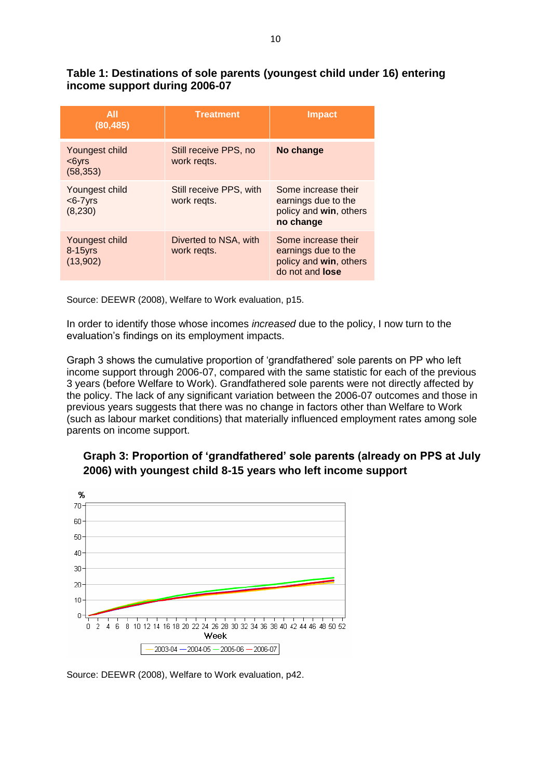## **Table 1: Destinations of sole parents (youngest child under 16) entering income support during 2006-07**

| <b>All</b><br>(80, 485)                  | <b>Treatment</b>                       | <b>Impact</b>                                                                                  |
|------------------------------------------|----------------------------------------|------------------------------------------------------------------------------------------------|
| Youngest child<br>$6Vrs$<br>(58, 353)    | Still receive PPS, no<br>work reqts.   | No change                                                                                      |
| Youngest child<br>$6-7$ yrs<br>(8, 230)  | Still receive PPS, with<br>work regts. | Some increase their<br>earnings due to the<br>policy and win, others<br>no change              |
| Youngest child<br>$8-15$ yrs<br>(13,902) | Diverted to NSA, with<br>work regts.   | Some increase their<br>earnings due to the<br>policy and win, others<br>do not and <b>lose</b> |

Source: DEEWR (2008), Welfare to Work evaluation, p15.

In order to identify those whose incomes *increased* due to the policy, I now turn to the evaluation's findings on its employment impacts.

Graph 3 shows the cumulative proportion of 'grandfathered' sole parents on PP who left income support through 2006-07, compared with the same statistic for each of the previous 3 years (before Welfare to Work). Grandfathered sole parents were not directly affected by the policy. The lack of any significant variation between the 2006-07 outcomes and those in previous years suggests that there was no change in factors other than Welfare to Work (such as labour market conditions) that materially influenced employment rates among sole parents on income support.



# **Graph 3: Proportion of 'grandfathered' sole parents (already on PPS at July 2006) with youngest child 8-15 years who left income support**

Source: DEEWR (2008), Welfare to Work evaluation, p42.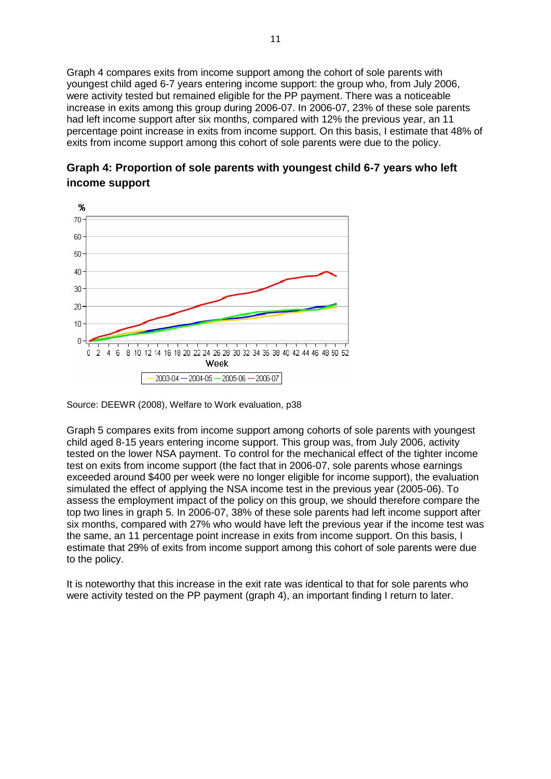Graph 4 compares exits from income support among the cohort of sole parents with youngest child aged 6-7 years entering income support: the group who, from July 2006, were activity tested but remained eligible for the PP payment. There was a noticeable increase in exits among this group during 2006-07. In 2006-07, 23% of these sole parents had left income support after six months, compared with 12% the previous year, an 11 percentage point increase in exits from income support. On this basis, I estimate that 48% of exits from income support among this cohort of sole parents were due to the policy.





Source: DEEWR (2008), Welfare to Work evaluation, p38

Graph 5 compares exits from income support among cohorts of sole parents with youngest child aged 8-15 years entering income support. This group was, from July 2006, activity tested on the lower NSA payment. To control for the mechanical effect of the tighter income test on exits from income support (the fact that in 2006-07, sole parents whose earnings exceeded around \$400 per week were no longer eligible for income support), the evaluation simulated the effect of applying the NSA income test in the previous year (2005-06). To assess the employment impact of the policy on this group, we should therefore compare the top two lines in graph 5. In 2006-07, 38% of these sole parents had left income support after six months, compared with 27% who would have left the previous year if the income test was the same, an 11 percentage point increase in exits from income support. On this basis, I estimate that 29% of exits from income support among this cohort of sole parents were due to the policy.

It is noteworthy that this increase in the exit rate was identical to that for sole parents who were activity tested on the PP payment (graph 4), an important finding I return to later.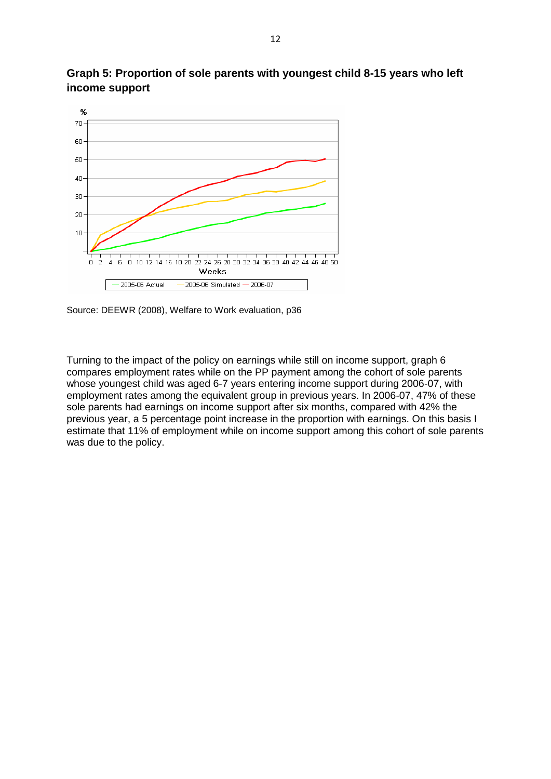

**Graph 5: Proportion of sole parents with youngest child 8-15 years who left income support**

Source: DEEWR (2008), Welfare to Work evaluation, p36

Turning to the impact of the policy on earnings while still on income support, graph 6 compares employment rates while on the PP payment among the cohort of sole parents whose youngest child was aged 6-7 years entering income support during 2006-07, with employment rates among the equivalent group in previous years. In 2006-07, 47% of these sole parents had earnings on income support after six months, compared with 42% the previous year, a 5 percentage point increase in the proportion with earnings. On this basis I estimate that 11% of employment while on income support among this cohort of sole parents was due to the policy.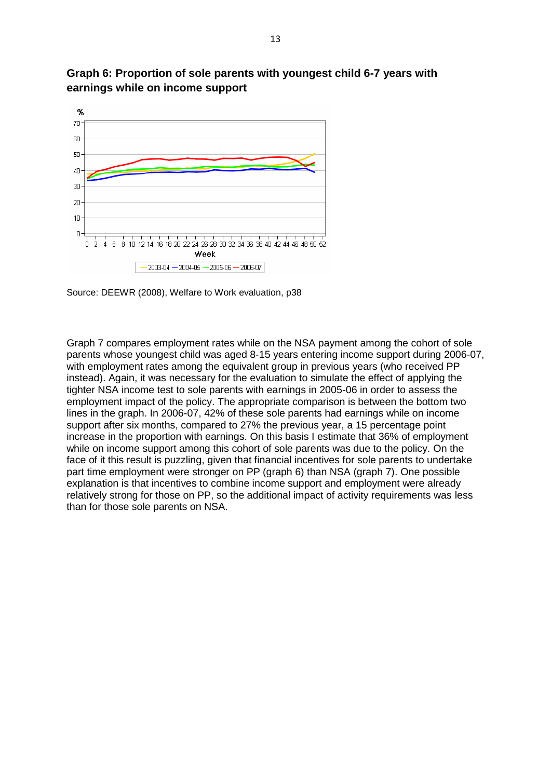

**Graph 6: Proportion of sole parents with youngest child 6-7 years with earnings while on income support**

Source: DEEWR (2008), Welfare to Work evaluation, p38

Graph 7 compares employment rates while on the NSA payment among the cohort of sole parents whose youngest child was aged 8-15 years entering income support during 2006-07, with employment rates among the equivalent group in previous years (who received PP instead). Again, it was necessary for the evaluation to simulate the effect of applying the tighter NSA income test to sole parents with earnings in 2005-06 in order to assess the employment impact of the policy. The appropriate comparison is between the bottom two lines in the graph. In 2006-07, 42% of these sole parents had earnings while on income support after six months, compared to 27% the previous year, a 15 percentage point increase in the proportion with earnings. On this basis I estimate that 36% of employment while on income support among this cohort of sole parents was due to the policy. On the face of it this result is puzzling, given that financial incentives for sole parents to undertake part time employment were stronger on PP (graph 6) than NSA (graph 7). One possible explanation is that incentives to combine income support and employment were already relatively strong for those on PP, so the additional impact of activity requirements was less than for those sole parents on NSA.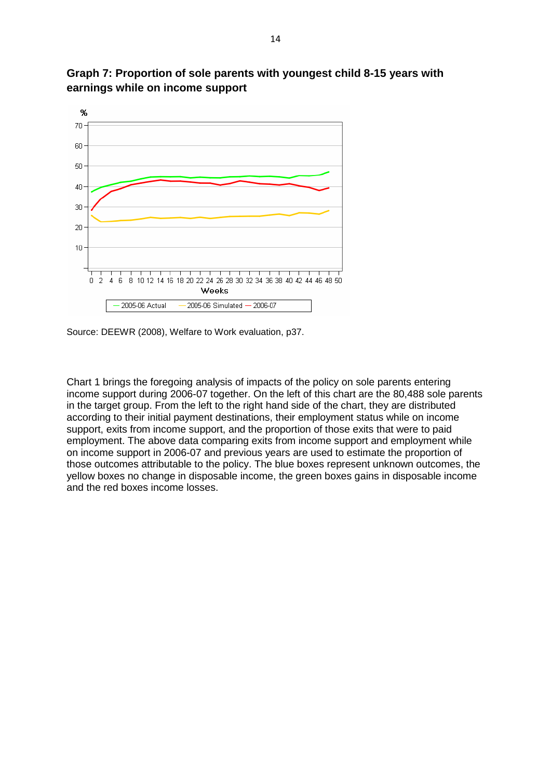

**Graph 7: Proportion of sole parents with youngest child 8-15 years with earnings while on income support**

Source: DEEWR (2008), Welfare to Work evaluation, p37.

Chart 1 brings the foregoing analysis of impacts of the policy on sole parents entering income support during 2006-07 together. On the left of this chart are the 80,488 sole parents in the target group. From the left to the right hand side of the chart, they are distributed according to their initial payment destinations, their employment status while on income support, exits from income support, and the proportion of those exits that were to paid employment. The above data comparing exits from income support and employment while on income support in 2006-07 and previous years are used to estimate the proportion of those outcomes attributable to the policy. The blue boxes represent unknown outcomes, the yellow boxes no change in disposable income, the green boxes gains in disposable income and the red boxes income losses.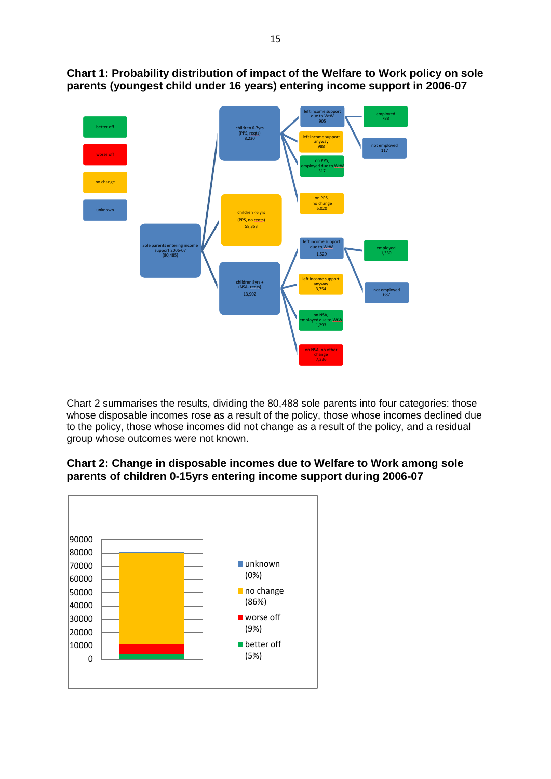

**Chart 1: Probability distribution of impact of the Welfare to Work policy on sole parents (youngest child under 16 years) entering income support in 2006-07**

Chart 2 summarises the results, dividing the 80,488 sole parents into four categories: those whose disposable incomes rose as a result of the policy, those whose incomes declined due to the policy, those whose incomes did not change as a result of the policy, and a residual group whose outcomes were not known.



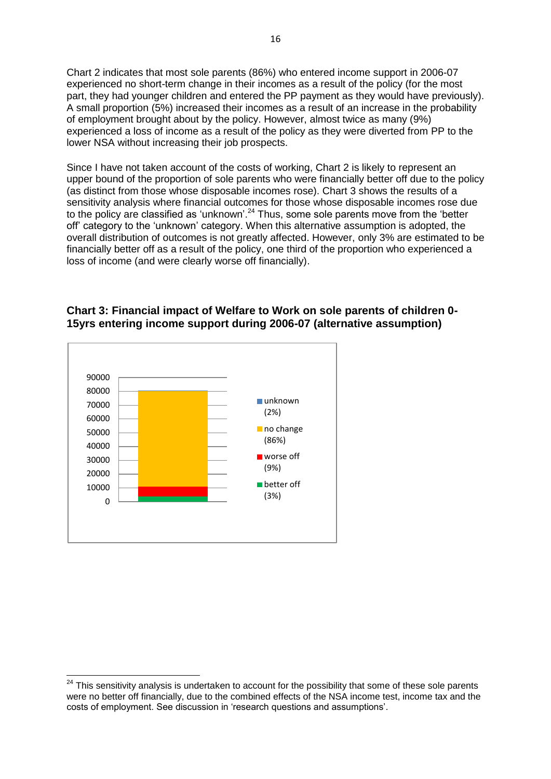Chart 2 indicates that most sole parents (86%) who entered income support in 2006-07 experienced no short-term change in their incomes as a result of the policy (for the most part, they had younger children and entered the PP payment as they would have previously). A small proportion (5%) increased their incomes as a result of an increase in the probability of employment brought about by the policy. However, almost twice as many (9%) experienced a loss of income as a result of the policy as they were diverted from PP to the lower NSA without increasing their job prospects.

Since I have not taken account of the costs of working, Chart 2 is likely to represent an upper bound of the proportion of sole parents who were financially better off due to the policy (as distinct from those whose disposable incomes rose). Chart 3 shows the results of a sensitivity analysis where financial outcomes for those whose disposable incomes rose due to the policy are classified as 'unknown'. $^{24}$  Thus, some sole parents move from the 'better off' category to the 'unknown' category. When this alternative assumption is adopted, the overall distribution of outcomes is not greatly affected. However, only 3% are estimated to be financially better off as a result of the policy, one third of the proportion who experienced a loss of income (and were clearly worse off financially).



 $\overline{\phantom{a}}$ 

**Chart 3: Financial impact of Welfare to Work on sole parents of children 0- 15yrs entering income support during 2006-07 (alternative assumption)**

<sup>&</sup>lt;sup>24</sup> This sensitivity analysis is undertaken to account for the possibility that some of these sole parents were no better off financially, due to the combined effects of the NSA income test, income tax and the costs of employment. See discussion in 'research questions and assumptions'.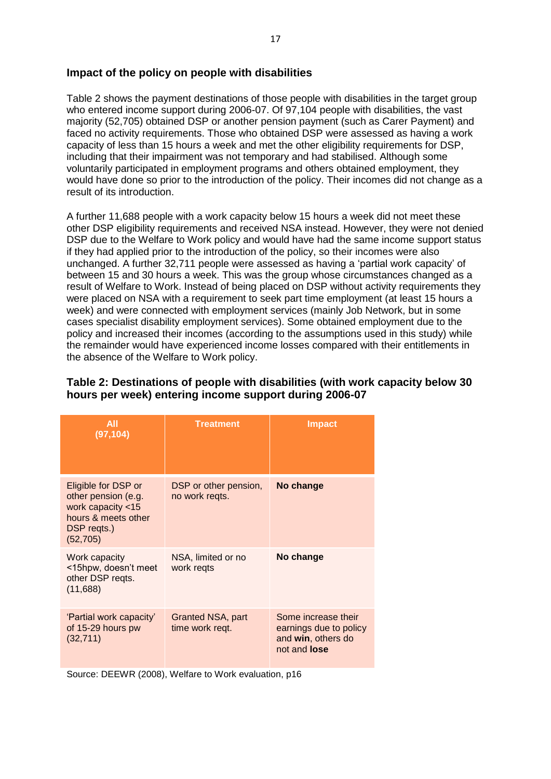#### **Impact of the policy on people with disabilities**

Table 2 shows the payment destinations of those people with disabilities in the target group who entered income support during 2006-07. Of 97,104 people with disabilities, the vast majority (52,705) obtained DSP or another pension payment (such as Carer Payment) and faced no activity requirements. Those who obtained DSP were assessed as having a work capacity of less than 15 hours a week and met the other eligibility requirements for DSP, including that their impairment was not temporary and had stabilised. Although some voluntarily participated in employment programs and others obtained employment, they would have done so prior to the introduction of the policy. Their incomes did not change as a result of its introduction.

A further 11,688 people with a work capacity below 15 hours a week did not meet these other DSP eligibility requirements and received NSA instead. However, they were not denied DSP due to the Welfare to Work policy and would have had the same income support status if they had applied prior to the introduction of the policy, so their incomes were also unchanged. A further 32,711 people were assessed as having a 'partial work capacity' of between 15 and 30 hours a week. This was the group whose circumstances changed as a result of Welfare to Work. Instead of being placed on DSP without activity requirements they were placed on NSA with a requirement to seek part time employment (at least 15 hours a week) and were connected with employment services (mainly Job Network, but in some cases specialist disability employment services). Some obtained employment due to the policy and increased their incomes (according to the assumptions used in this study) while the remainder would have experienced income losses compared with their entitlements in the absence of the Welfare to Work policy.

| All<br>(97, 104)                                                                                                   | <b>Treatment</b>                        | <b>Impact</b>                                                                              |
|--------------------------------------------------------------------------------------------------------------------|-----------------------------------------|--------------------------------------------------------------------------------------------|
| Eligible for DSP or<br>other pension (e.g.<br>work capacity <15<br>hours & meets other<br>DSP regts.)<br>(52, 705) | DSP or other pension,<br>no work regts. | No change                                                                                  |
| Work capacity<br><15hpw, doesn't meet<br>other DSP regts.<br>(11,688)                                              | NSA, limited or no<br>work regts        | No change                                                                                  |
| 'Partial work capacity'<br>of 15-29 hours pw<br>(32, 711)                                                          | Granted NSA, part<br>time work reqt.    | Some increase their<br>earnings due to policy<br>and win, others do<br>not and <b>lose</b> |

## **Table 2: Destinations of people with disabilities (with work capacity below 30 hours per week) entering income support during 2006-07**

Source: DEEWR (2008), Welfare to Work evaluation, p16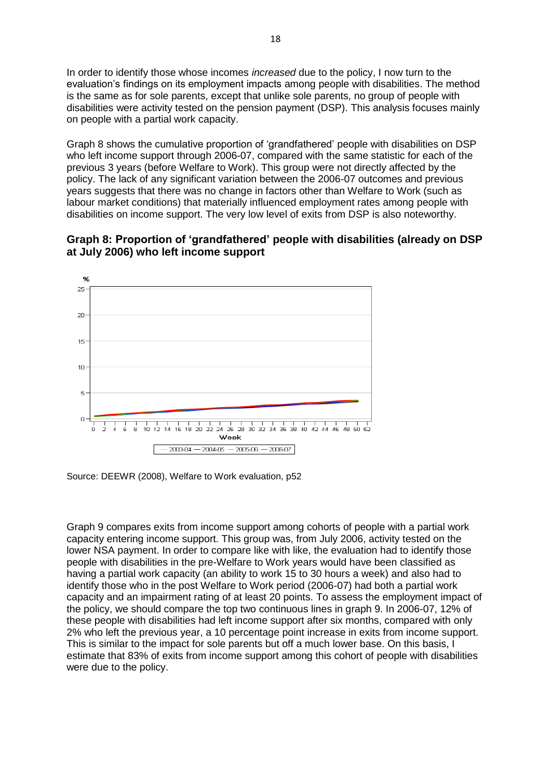In order to identify those whose incomes *increased* due to the policy, I now turn to the evaluation's findings on its employment impacts among people with disabilities. The method is the same as for sole parents, except that unlike sole parents, no group of people with disabilities were activity tested on the pension payment (DSP). This analysis focuses mainly on people with a partial work capacity.

Graph 8 shows the cumulative proportion of 'grandfathered' people with disabilities on DSP who left income support through 2006-07, compared with the same statistic for each of the previous 3 years (before Welfare to Work). This group were not directly affected by the policy. The lack of any significant variation between the 2006-07 outcomes and previous years suggests that there was no change in factors other than Welfare to Work (such as labour market conditions) that materially influenced employment rates among people with disabilities on income support. The very low level of exits from DSP is also noteworthy.

#### **Graph 8: Proportion of 'grandfathered' people with disabilities (already on DSP at July 2006) who left income support**



Source: DEEWR (2008), Welfare to Work evaluation, p52

Graph 9 compares exits from income support among cohorts of people with a partial work capacity entering income support. This group was, from July 2006, activity tested on the lower NSA payment. In order to compare like with like, the evaluation had to identify those people with disabilities in the pre-Welfare to Work years would have been classified as having a partial work capacity (an ability to work 15 to 30 hours a week) and also had to identify those who in the post Welfare to Work period (2006-07) had both a partial work capacity and an impairment rating of at least 20 points. To assess the employment impact of the policy, we should compare the top two continuous lines in graph 9. In 2006-07, 12% of these people with disabilities had left income support after six months, compared with only 2% who left the previous year, a 10 percentage point increase in exits from income support. This is similar to the impact for sole parents but off a much lower base. On this basis, I estimate that 83% of exits from income support among this cohort of people with disabilities were due to the policy.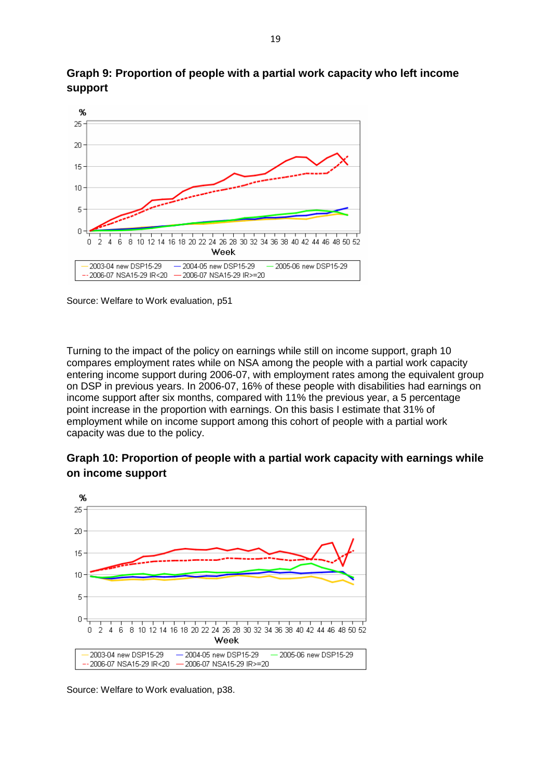



Source: Welfare to Work evaluation, p51

Turning to the impact of the policy on earnings while still on income support, graph 10 compares employment rates while on NSA among the people with a partial work capacity entering income support during 2006-07, with employment rates among the equivalent group on DSP in previous years. In 2006-07, 16% of these people with disabilities had earnings on income support after six months, compared with 11% the previous year, a 5 percentage point increase in the proportion with earnings. On this basis I estimate that 31% of employment while on income support among this cohort of people with a partial work capacity was due to the policy.





Source: Welfare to Work evaluation, p38.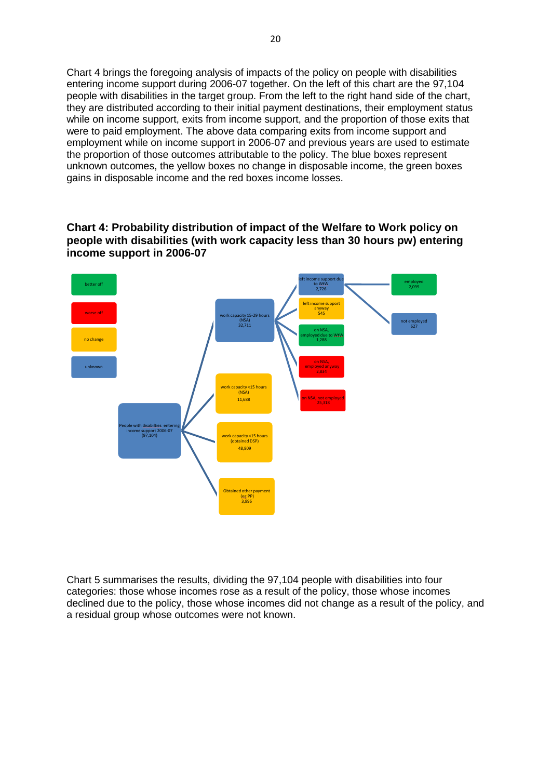Chart 4 brings the foregoing analysis of impacts of the policy on people with disabilities entering income support during 2006-07 together. On the left of this chart are the 97,104 people with disabilities in the target group. From the left to the right hand side of the chart, they are distributed according to their initial payment destinations, their employment status while on income support, exits from income support, and the proportion of those exits that were to paid employment. The above data comparing exits from income support and employment while on income support in 2006-07 and previous years are used to estimate the proportion of those outcomes attributable to the policy. The blue boxes represent unknown outcomes, the yellow boxes no change in disposable income, the green boxes gains in disposable income and the red boxes income losses.

## **Chart 4: Probability distribution of impact of the Welfare to Work policy on people with disabilities (with work capacity less than 30 hours pw) entering income support in 2006-07**



Chart 5 summarises the results, dividing the 97,104 people with disabilities into four categories: those whose incomes rose as a result of the policy, those whose incomes declined due to the policy, those whose incomes did not change as a result of the policy, and a residual group whose outcomes were not known.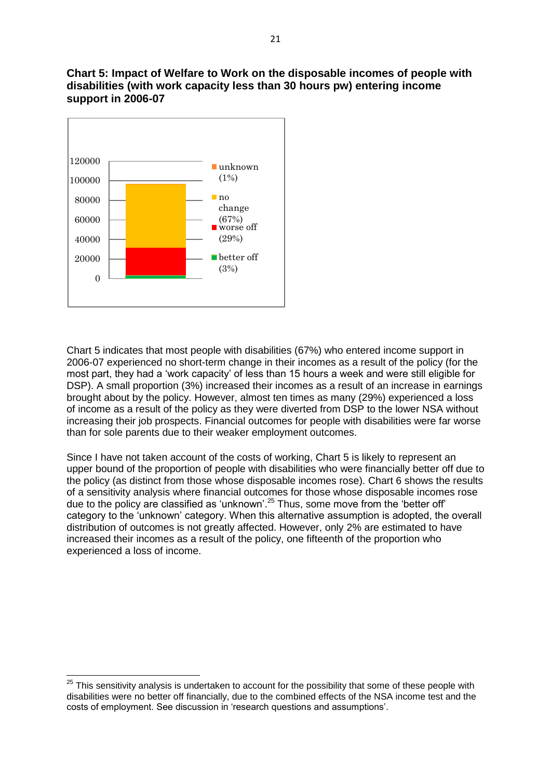



 $\overline{\phantom{a}}$ 

Chart 5 indicates that most people with disabilities (67%) who entered income support in 2006-07 experienced no short-term change in their incomes as a result of the policy (for the most part, they had a 'work capacity' of less than 15 hours a week and were still eligible for DSP). A small proportion (3%) increased their incomes as a result of an increase in earnings brought about by the policy. However, almost ten times as many (29%) experienced a loss of income as a result of the policy as they were diverted from DSP to the lower NSA without increasing their job prospects. Financial outcomes for people with disabilities were far worse than for sole parents due to their weaker employment outcomes.

Since I have not taken account of the costs of working, Chart 5 is likely to represent an upper bound of the proportion of people with disabilities who were financially better off due to the policy (as distinct from those whose disposable incomes rose). Chart 6 shows the results of a sensitivity analysis where financial outcomes for those whose disposable incomes rose due to the policy are classified as 'unknown'. <sup>25</sup> Thus, some move from the 'better off' category to the 'unknown' category. When this alternative assumption is adopted, the overall distribution of outcomes is not greatly affected. However, only 2% are estimated to have increased their incomes as a result of the policy, one fifteenth of the proportion who experienced a loss of income.

 $25$  This sensitivity analysis is undertaken to account for the possibility that some of these people with disabilities were no better off financially, due to the combined effects of the NSA income test and the costs of employment. See discussion in 'research questions and assumptions'.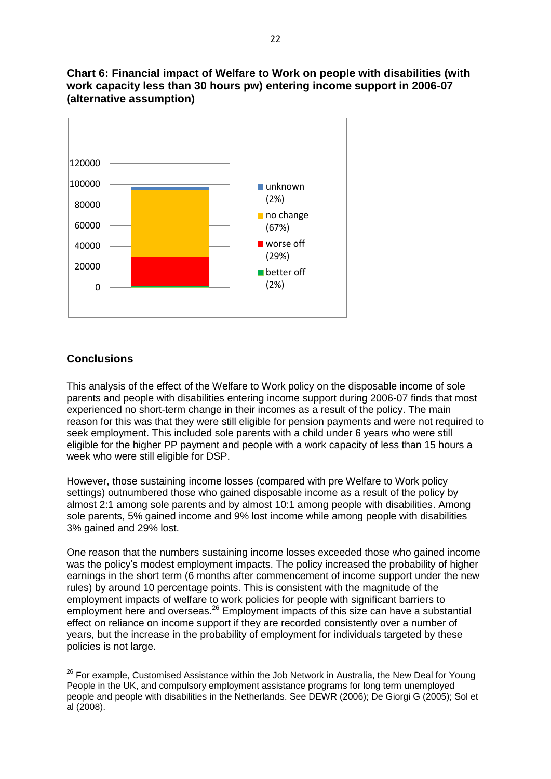

**Chart 6: Financial impact of Welfare to Work on people with disabilities (with work capacity less than 30 hours pw) entering income support in 2006-07 (alternative assumption)**

# **Conclusions**

**.** 

This analysis of the effect of the Welfare to Work policy on the disposable income of sole parents and people with disabilities entering income support during 2006-07 finds that most experienced no short-term change in their incomes as a result of the policy. The main reason for this was that they were still eligible for pension payments and were not required to seek employment. This included sole parents with a child under 6 years who were still eligible for the higher PP payment and people with a work capacity of less than 15 hours a week who were still eligible for DSP.

However, those sustaining income losses (compared with pre Welfare to Work policy settings) outnumbered those who gained disposable income as a result of the policy by almost 2:1 among sole parents and by almost 10:1 among people with disabilities. Among sole parents, 5% gained income and 9% lost income while among people with disabilities 3% gained and 29% lost.

One reason that the numbers sustaining income losses exceeded those who gained income was the policy's modest employment impacts. The policy increased the probability of higher earnings in the short term (6 months after commencement of income support under the new rules) by around 10 percentage points. This is consistent with the magnitude of the employment impacts of welfare to work policies for people with significant barriers to employment here and overseas.<sup>26</sup> Employment impacts of this size can have a substantial effect on reliance on income support if they are recorded consistently over a number of years, but the increase in the probability of employment for individuals targeted by these policies is not large.

 $^{26}$  For example, Customised Assistance within the Job Network in Australia, the New Deal for Young People in the UK, and compulsory employment assistance programs for long term unemployed people and people with disabilities in the Netherlands. See DEWR (2006); De Giorgi G (2005); Sol et al (2008).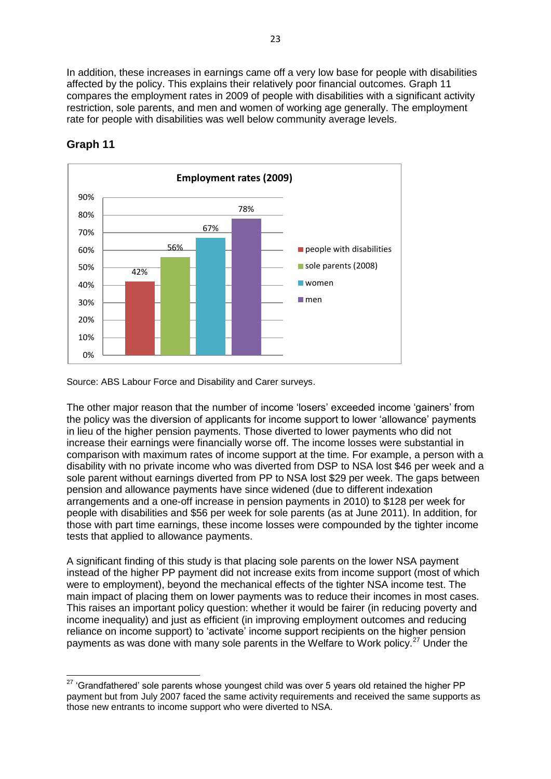In addition, these increases in earnings came off a very low base for people with disabilities affected by the policy. This explains their relatively poor financial outcomes. Graph 11 compares the employment rates in 2009 of people with disabilities with a significant activity restriction, sole parents, and men and women of working age generally. The employment rate for people with disabilities was well below community average levels.



# **Graph 11**

Source: ABS Labour Force and Disability and Carer surveys.

The other major reason that the number of income 'losers' exceeded income 'gainers' from the policy was the diversion of applicants for income support to lower 'allowance' payments in lieu of the higher pension payments. Those diverted to lower payments who did not increase their earnings were financially worse off. The income losses were substantial in comparison with maximum rates of income support at the time. For example, a person with a disability with no private income who was diverted from DSP to NSA lost \$46 per week and a sole parent without earnings diverted from PP to NSA lost \$29 per week. The gaps between pension and allowance payments have since widened (due to different indexation arrangements and a one-off increase in pension payments in 2010) to \$128 per week for people with disabilities and \$56 per week for sole parents (as at June 2011). In addition, for those with part time earnings, these income losses were compounded by the tighter income tests that applied to allowance payments.

A significant finding of this study is that placing sole parents on the lower NSA payment instead of the higher PP payment did not increase exits from income support (most of which were to employment), beyond the mechanical effects of the tighter NSA income test. The main impact of placing them on lower payments was to reduce their incomes in most cases. This raises an important policy question: whether it would be fairer (in reducing poverty and income inequality) and just as efficient (in improving employment outcomes and reducing reliance on income support) to 'activate' income support recipients on the higher pension payments as was done with many sole parents in the Welfare to Work policy.<sup>27</sup> Under the

 $\overline{\phantom{a}}$  $27$  'Grandfathered' sole parents whose youngest child was over 5 years old retained the higher PP payment but from July 2007 faced the same activity requirements and received the same supports as those new entrants to income support who were diverted to NSA.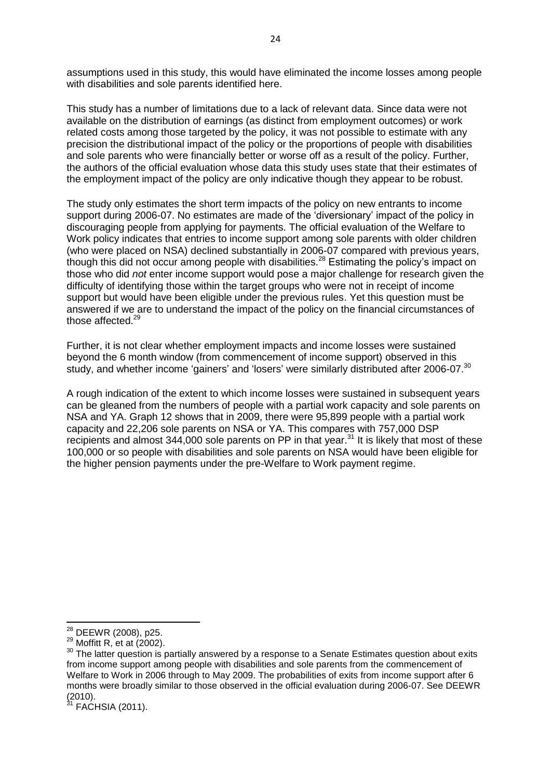assumptions used in this study, this would have eliminated the income losses among people with disabilities and sole parents identified here.

This study has a number of limitations due to a lack of relevant data. Since data were not available on the distribution of earnings (as distinct from employment outcomes) or work related costs among those targeted by the policy, it was not possible to estimate with any precision the distributional impact of the policy or the proportions of people with disabilities and sole parents who were financially better or worse off as a result of the policy. Further, the authors of the official evaluation whose data this study uses state that their estimates of the employment impact of the policy are only indicative though they appear to be robust.

The study only estimates the short term impacts of the policy on new entrants to income support during 2006-07. No estimates are made of the 'diversionary' impact of the policy in discouraging people from applying for payments. The official evaluation of the Welfare to Work policy indicates that entries to income support among sole parents with older children (who were placed on NSA) declined substantially in 2006-07 compared with previous years, though this did not occur among people with disabilities.<sup>28</sup> Estimating the policy's impact on those who did *not* enter income support would pose a major challenge for research given the difficulty of identifying those within the target groups who were not in receipt of income support but would have been eligible under the previous rules. Yet this question must be answered if we are to understand the impact of the policy on the financial circumstances of those affected.<sup>29</sup>

Further, it is not clear whether employment impacts and income losses were sustained beyond the 6 month window (from commencement of income support) observed in this study, and whether income 'gainers' and 'losers' were similarly distributed after 2006-07. $30$ 

A rough indication of the extent to which income losses were sustained in subsequent years can be gleaned from the numbers of people with a partial work capacity and sole parents on NSA and YA. Graph 12 shows that in 2009, there were 95,899 people with a partial work capacity and 22,206 sole parents on NSA or YA. This compares with 757,000 DSP recipients and almost 344,000 sole parents on PP in that year.<sup>31</sup> It is likely that most of these 100,000 or so people with disabilities and sole parents on NSA would have been eligible for the higher pension payments under the pre-Welfare to Work payment regime.

**<sup>.</sup>** <sup>28</sup> DEEWR (2008), p25.

 $29$  Moffitt R, et at (2002).

<sup>&</sup>lt;sup>30</sup> The latter question is partially answered by a response to a Senate Estimates question about exits from income support among people with disabilities and sole parents from the commencement of Welfare to Work in 2006 through to May 2009. The probabilities of exits from income support after 6 months were broadly similar to those observed in the official evaluation during 2006-07. See DEEWR  $(2010)$ .

FACHSIA (2011).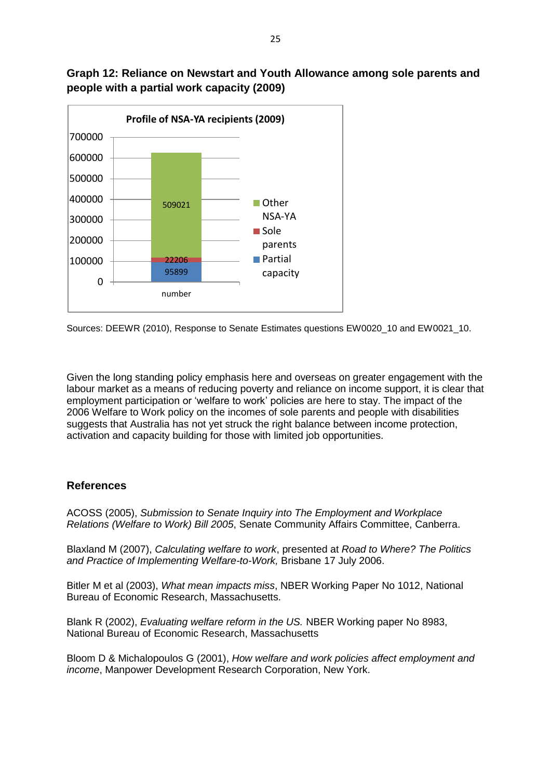**Graph 12: Reliance on Newstart and Youth Allowance among sole parents and people with a partial work capacity (2009)**



Sources: DEEWR (2010), Response to Senate Estimates questions EW0020\_10 and EW0021\_10.

Given the long standing policy emphasis here and overseas on greater engagement with the labour market as a means of reducing poverty and reliance on income support, it is clear that employment participation or 'welfare to work' policies are here to stay. The impact of the 2006 Welfare to Work policy on the incomes of sole parents and people with disabilities suggests that Australia has not yet struck the right balance between income protection, activation and capacity building for those with limited job opportunities.

## **References**

ACOSS (2005), *Submission to Senate Inquiry into The Employment and Workplace Relations (Welfare to Work) Bill 2005*, Senate Community Affairs Committee, Canberra.

Blaxland M (2007), *Calculating welfare to work*, presented at *Road to Where? The Politics and Practice of Implementing Welfare-to-Work,* Brisbane 17 July 2006.

Bitler M et al (2003), *What mean impacts miss*, NBER Working Paper No 1012, National Bureau of Economic Research, Massachusetts.

Blank R (2002), *Evaluating welfare reform in the US.* NBER Working paper No 8983, National Bureau of Economic Research, Massachusetts

Bloom D & Michalopoulos G (2001), *How welfare and work policies affect employment and income*, Manpower Development Research Corporation, New York.